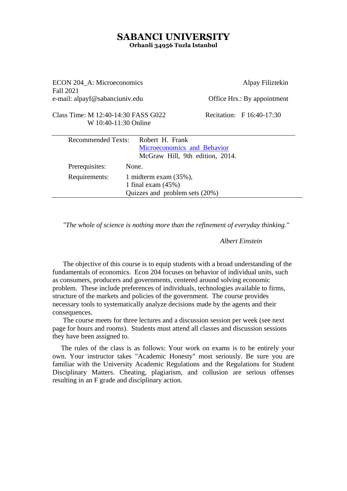## **SABANCI UNIVERSITY Orhanli 34956 Tuzla Istanbul**

ECON 204\_A: Microeconomics Alpay Filiztekin Fall 2021 e-mail: alpayf@sabanciuniv.edu Office Hrs.: By appointment Class Time: M 12:40-14:30 FASS G022 Recitation: F 16:40-17:30 W 10:40-11:30 Online Recommended Texts: Robert H. Frank [Microeconomics and Behavior](https://www.homerbooks.com/urun/microeconomics-and-behavior) McGraw Hill, 9th edition, 2014. Prerequisites: None. Requirements: 1 midterm exam (35%), 1 final exam (45%) Quizzes and problem sets (20%)

*"The whole of science is nothing more than the refinement of everyday thinking."*

#### *Albert Einstein*

The objective of this course is to equip students with a broad understanding of the fundamentals of economics. Econ 204 focuses on behavior of individual units, such as consumers, producers and governments, centered around solving economic problem. These include preferences of individuals, technologies available to firms, structure of the markets and policies of the government. The course provides necessary tools to systematically analyze decisions made by the agents and their consequences.

The course meets for three lectures and a discussion session per week (see next page for hours and rooms). Students must attend all classes and discussion sessions they have been assigned to.

The rules of the class is as follows: Your work on exams is to be entirely your own. Your instructor takes "Academic Honesty" most seriously. Be sure you are familiar with the University Academic Regulations and the Regulations for Student Disciplinary Matters. Cheating, plagiarism, and collusion are serious offenses resulting in an F grade and disciplinary action.